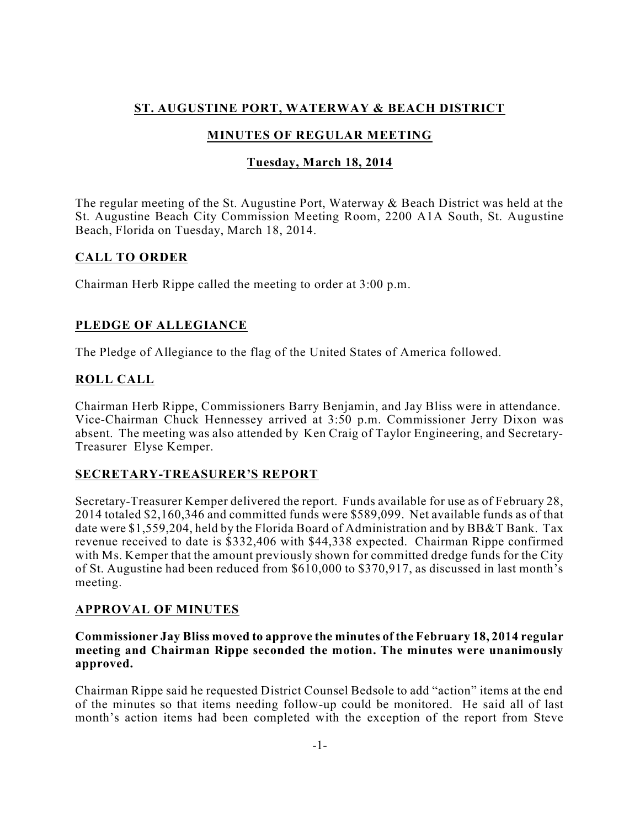# **ST. AUGUSTINE PORT, WATERWAY & BEACH DISTRICT**

# **MINUTES OF REGULAR MEETING**

## **Tuesday, March 18, 2014**

The regular meeting of the St. Augustine Port, Waterway & Beach District was held at the St. Augustine Beach City Commission Meeting Room, 2200 A1A South, St. Augustine Beach, Florida on Tuesday, March 18, 2014.

## **CALL TO ORDER**

Chairman Herb Rippe called the meeting to order at 3:00 p.m.

# **PLEDGE OF ALLEGIANCE**

The Pledge of Allegiance to the flag of the United States of America followed.

# **ROLL CALL**

Chairman Herb Rippe, Commissioners Barry Benjamin, and Jay Bliss were in attendance. Vice-Chairman Chuck Hennessey arrived at 3:50 p.m. Commissioner Jerry Dixon was absent. The meeting was also attended by Ken Craig of Taylor Engineering, and Secretary-Treasurer Elyse Kemper.

# **SECRETARY-TREASURER'S REPORT**

Secretary-Treasurer Kemper delivered the report. Funds available for use as of February 28, 2014 totaled \$2,160,346 and committed funds were \$589,099. Net available funds as of that date were \$1,559,204, held by the Florida Board of Administration and by BB&T Bank. Tax revenue received to date is \$332,406 with \$44,338 expected. Chairman Rippe confirmed with Ms. Kemper that the amount previously shown for committed dredge funds for the City of St. Augustine had been reduced from \$610,000 to \$370,917, as discussed in last month's meeting.

# **APPROVAL OF MINUTES**

### **Commissioner Jay Bliss moved to approve the minutes of the February 18, 2014 regular meeting and Chairman Rippe seconded the motion. The minutes were unanimously approved.**

Chairman Rippe said he requested District Counsel Bedsole to add "action" items at the end of the minutes so that items needing follow-up could be monitored. He said all of last month's action items had been completed with the exception of the report from Steve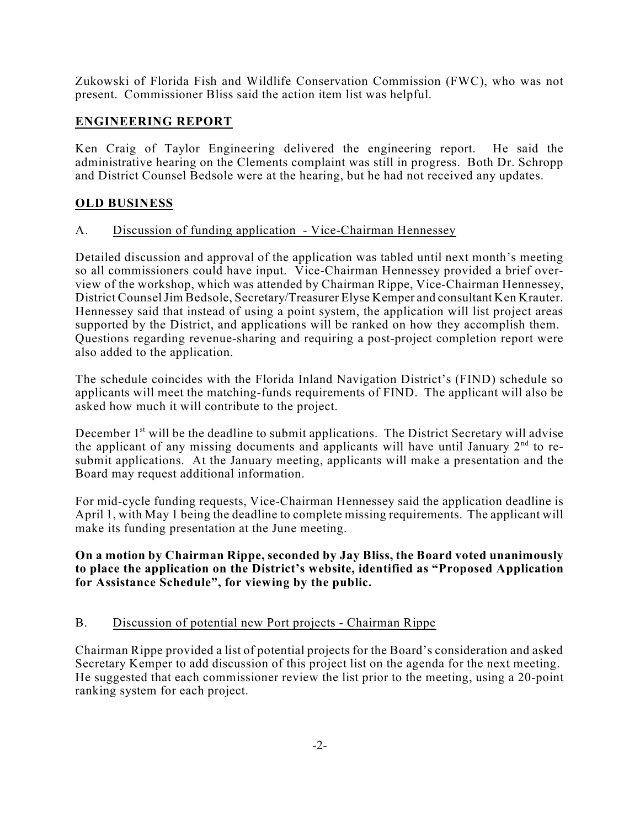Zukowski of Florida Fish and Wildlife Conservation Commission (FWC), who was not present. Commissioner Bliss said the action item list was helpful.

### **ENGINEERING REPORT**

Ken Craig of Taylor Engineering delivered the engineering report. He said the administrative hearing on the Clements complaint was still in progress. Both Dr. Schropp and District Counsel Bedsole were at the hearing, but he had not received any updates.

### **OLD BUSINESS**

### A. Discussion of funding application - Vice-Chairman Hennessey

Detailed discussion and approval of the application was tabled until next month's meeting so all commissioners could have input. Vice-Chairman Hennessey provided a brief overview of the workshop, which was attended by Chairman Rippe, Vice-Chairman Hennessey, District CounselJim Bedsole, Secretary/Treasurer Elyse Kemper and consultant Ken Krauter. Hennessey said that instead of using a point system, the application will list project areas supported by the District, and applications will be ranked on how they accomplish them. Questions regarding revenue-sharing and requiring a post-project completion report were also added to the application.

The schedule coincides with the Florida Inland Navigation District's (FIND) schedule so applicants will meet the matching-funds requirements of FIND. The applicant will also be asked how much it will contribute to the project.

December 1<sup>st</sup> will be the deadline to submit applications. The District Secretary will advise the applicant of any missing documents and applicants will have until January  $2<sup>nd</sup>$  to resubmit applications. At the January meeting, applicants will make a presentation and the Board may request additional information.

For mid-cycle funding requests, Vice-Chairman Hennessey said the application deadline is April 1, with May 1 being the deadline to complete missing requirements. The applicant will make its funding presentation at the June meeting.

**On a motion by Chairman Rippe, seconded by Jay Bliss, the Board voted unanimously to place the application on the District's website, identified as "Proposed Application for Assistance Schedule", for viewing by the public.**

### B. Discussion of potential new Port projects - Chairman Rippe

Chairman Rippe provided a list of potential projects for the Board's consideration and asked Secretary Kemper to add discussion of this project list on the agenda for the next meeting. He suggested that each commissioner review the list prior to the meeting, using a 20-point ranking system for each project.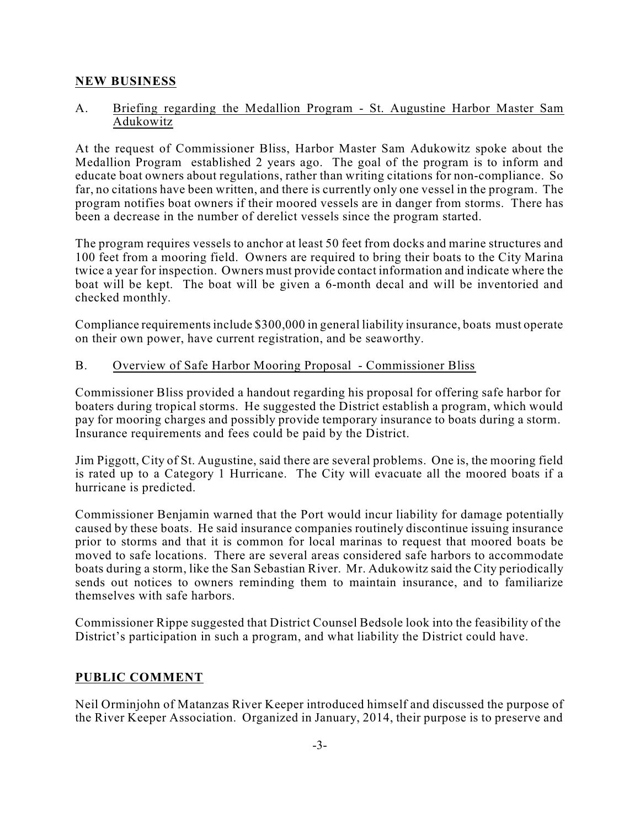### **NEW BUSINESS**

### A. Briefing regarding the Medallion Program - St. Augustine Harbor Master Sam Adukowitz

At the request of Commissioner Bliss, Harbor Master Sam Adukowitz spoke about the Medallion Program established 2 years ago. The goal of the program is to inform and educate boat owners about regulations, rather than writing citations for non-compliance. So far, no citations have been written, and there is currently only one vessel in the program. The program notifies boat owners if their moored vessels are in danger from storms. There has been a decrease in the number of derelict vessels since the program started.

The program requires vessels to anchor at least 50 feet from docks and marine structures and 100 feet from a mooring field. Owners are required to bring their boats to the City Marina twice a year for inspection. Owners must provide contact information and indicate where the boat will be kept. The boat will be given a 6-month decal and will be inventoried and checked monthly.

Compliance requirementsinclude \$300,000 in general liability insurance, boats must operate on their own power, have current registration, and be seaworthy.

### B. Overview of Safe Harbor Mooring Proposal - Commissioner Bliss

Commissioner Bliss provided a handout regarding his proposal for offering safe harbor for boaters during tropical storms. He suggested the District establish a program, which would pay for mooring charges and possibly provide temporary insurance to boats during a storm. Insurance requirements and fees could be paid by the District.

Jim Piggott, City of St. Augustine, said there are several problems. One is, the mooring field is rated up to a Category 1 Hurricane. The City will evacuate all the moored boats if a hurricane is predicted.

Commissioner Benjamin warned that the Port would incur liability for damage potentially caused by these boats. He said insurance companies routinely discontinue issuing insurance prior to storms and that it is common for local marinas to request that moored boats be moved to safe locations. There are several areas considered safe harbors to accommodate boats during a storm, like the San Sebastian River. Mr. Adukowitz said the City periodically sends out notices to owners reminding them to maintain insurance, and to familiarize themselves with safe harbors.

Commissioner Rippe suggested that District Counsel Bedsole look into the feasibility of the District's participation in such a program, and what liability the District could have.

### **PUBLIC COMMENT**

Neil Orminjohn of Matanzas River Keeper introduced himself and discussed the purpose of the River Keeper Association. Organized in January, 2014, their purpose is to preserve and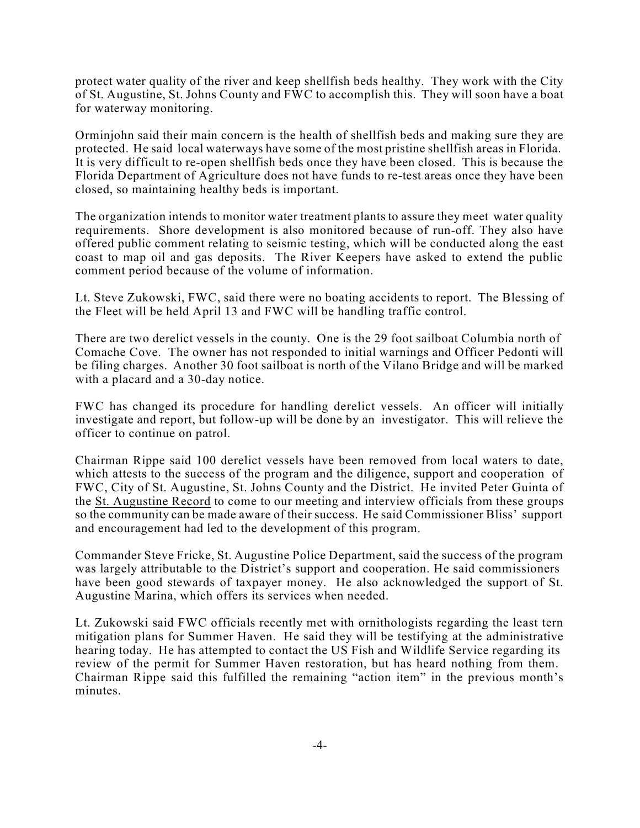protect water quality of the river and keep shellfish beds healthy. They work with the City of St. Augustine, St. Johns County and FWC to accomplish this. They will soon have a boat for waterway monitoring.

Orminjohn said their main concern is the health of shellfish beds and making sure they are protected. He said local waterways have some of the most pristine shellfish areas in Florida. It is very difficult to re-open shellfish beds once they have been closed. This is because the Florida Department of Agriculture does not have funds to re-test areas once they have been closed, so maintaining healthy beds is important.

The organization intends to monitor water treatment plants to assure they meet water quality requirements. Shore development is also monitored because of run-off. They also have offered public comment relating to seismic testing, which will be conducted along the east coast to map oil and gas deposits. The River Keepers have asked to extend the public comment period because of the volume of information.

Lt. Steve Zukowski, FWC, said there were no boating accidents to report. The Blessing of the Fleet will be held April 13 and FWC will be handling traffic control.

There are two derelict vessels in the county. One is the 29 foot sailboat Columbia north of Comache Cove. The owner has not responded to initial warnings and Officer Pedonti will be filing charges. Another 30 foot sailboat is north of the Vilano Bridge and will be marked with a placard and a 30-day notice.

FWC has changed its procedure for handling derelict vessels. An officer will initially investigate and report, but follow-up will be done by an investigator. This will relieve the officer to continue on patrol.

Chairman Rippe said 100 derelict vessels have been removed from local waters to date, which attests to the success of the program and the diligence, support and cooperation of FWC, City of St. Augustine, St. Johns County and the District. He invited Peter Guinta of the St. Augustine Record to come to our meeting and interview officials from these groups so the community can be made aware of their success. He said Commissioner Bliss' support and encouragement had led to the development of this program.

Commander Steve Fricke, St. Augustine Police Department, said the success of the program was largely attributable to the District's support and cooperation. He said commissioners have been good stewards of taxpayer money. He also acknowledged the support of St. Augustine Marina, which offers its services when needed.

Lt. Zukowski said FWC officials recently met with ornithologists regarding the least tern mitigation plans for Summer Haven. He said they will be testifying at the administrative hearing today. He has attempted to contact the US Fish and Wildlife Service regarding its review of the permit for Summer Haven restoration, but has heard nothing from them. Chairman Rippe said this fulfilled the remaining "action item" in the previous month's minutes.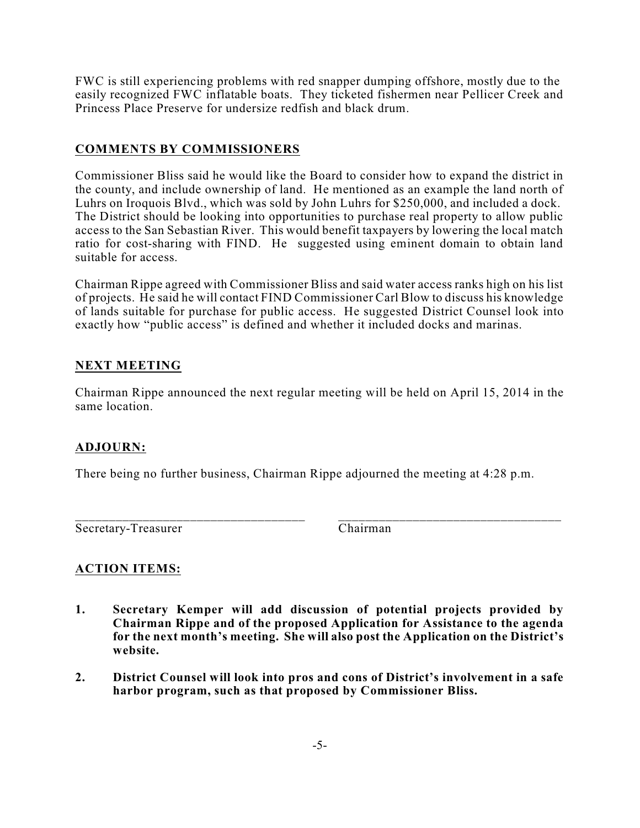FWC is still experiencing problems with red snapper dumping offshore, mostly due to the easily recognized FWC inflatable boats. They ticketed fishermen near Pellicer Creek and Princess Place Preserve for undersize redfish and black drum.

## **COMMENTS BY COMMISSIONERS**

Commissioner Bliss said he would like the Board to consider how to expand the district in the county, and include ownership of land. He mentioned as an example the land north of Luhrs on Iroquois Blvd., which was sold by John Luhrs for \$250,000, and included a dock. The District should be looking into opportunities to purchase real property to allow public access to the San Sebastian River. This would benefit taxpayers by lowering the local match ratio for cost-sharing with FIND. He suggested using eminent domain to obtain land suitable for access.

Chairman Rippe agreed with Commissioner Bliss and said water access ranks high on his list of projects. He said he will contact FIND Commissioner Carl Blow to discuss his knowledge of lands suitable for purchase for public access. He suggested District Counsel look into exactly how "public access" is defined and whether it included docks and marinas.

## **NEXT MEETING**

Chairman Rippe announced the next regular meeting will be held on April 15, 2014 in the same location.

### **ADJOURN:**

There being no further business, Chairman Rippe adjourned the meeting at 4:28 p.m.

\_\_\_\_\_\_\_\_\_\_\_\_\_\_\_\_\_\_\_\_\_\_\_\_\_\_\_\_\_\_\_\_\_\_ \_\_\_\_\_\_\_\_\_\_\_\_\_\_\_\_\_\_\_\_\_\_\_\_\_\_\_\_\_\_\_\_\_ Secretary-Treasurer Chairman

# **ACTION ITEMS:**

- **1. Secretary Kemper will add discussion of potential projects provided by Chairman Rippe and of the proposed Application for Assistance to the agenda for the next month's meeting. She will also post the Application on the District's website.**
- **2. District Counsel will look into pros and cons of District's involvement in a safe harbor program, such as that proposed by Commissioner Bliss.**